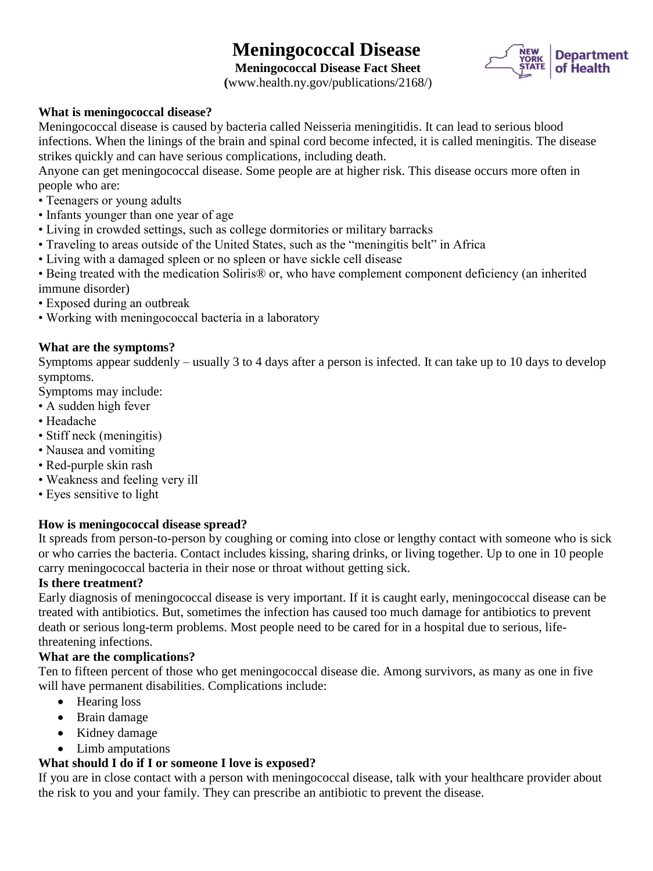# **Meningococcal Disease**



**Meningococcal Disease Fact Sheet (**www.health.ny.gov/publications/2168/)

# **What is meningococcal disease?**

Meningococcal disease is caused by bacteria called Neisseria meningitidis. It can lead to serious blood infections. When the linings of the brain and spinal cord become infected, it is called meningitis. The disease strikes quickly and can have serious complications, including death.

Anyone can get meningococcal disease. Some people are at higher risk. This disease occurs more often in people who are:

- Teenagers or young adults
- Infants younger than one year of age
- Living in crowded settings, such as college dormitories or military barracks
- Traveling to areas outside of the United States, such as the "meningitis belt" in Africa
- Living with a damaged spleen or no spleen or have sickle cell disease
- Being treated with the medication Soliris® or, who have complement component deficiency (an inherited immune disorder)
- Exposed during an outbreak
- Working with meningococcal bacteria in a laboratory

#### **What are the symptoms?**

Symptoms appear suddenly – usually 3 to 4 days after a person is infected. It can take up to 10 days to develop symptoms.

Symptoms may include:

- A sudden high fever
- Headache
- Stiff neck (meningitis)
- Nausea and vomiting
- Red-purple skin rash
- Weakness and feeling very ill
- Eyes sensitive to light

### **How is meningococcal disease spread?**

It spreads from person-to-person by coughing or coming into close or lengthy contact with someone who is sick or who carries the bacteria. Contact includes kissing, sharing drinks, or living together. Up to one in 10 people carry meningococcal bacteria in their nose or throat without getting sick.

#### **Is there treatment?**

Early diagnosis of meningococcal disease is very important. If it is caught early, meningococcal disease can be treated with antibiotics. But, sometimes the infection has caused too much damage for antibiotics to prevent death or serious long-term problems. Most people need to be cared for in a hospital due to serious, lifethreatening infections.

#### **What are the complications?**

Ten to fifteen percent of those who get meningococcal disease die. Among survivors, as many as one in five will have permanent disabilities. Complications include:

- Hearing loss
- Brain damage
- Kidney damage
- Limb amputations

### **What should I do if I or someone I love is exposed?**

If you are in close contact with a person with meningococcal disease, talk with your healthcare provider about the risk to you and your family. They can prescribe an antibiotic to prevent the disease.